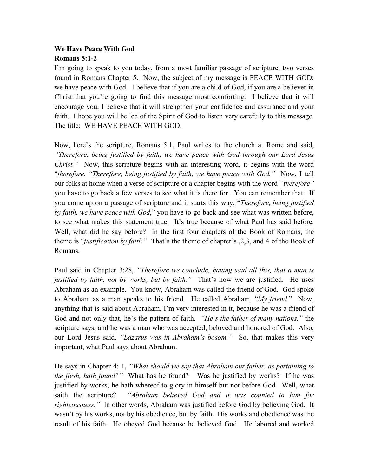## **We Have Peace With God Romans 5:1-2**

I'm going to speak to you today, from a most familiar passage of scripture, two verses found in Romans Chapter 5. Now, the subject of my message is PEACE WITH GOD; we have peace with God. I believe that if you are a child of God, if you are a believer in Christ that you're going to find this message most comforting. I believe that it will encourage you, I believe that it will strengthen your confidence and assurance and your faith. I hope you will be led of the Spirit of God to listen very carefully to this message. The title: WE HAVE PEACE WITH GOD.

Now, here's the scripture, Romans 5:1, Paul writes to the church at Rome and said, *"Therefore, being justified by faith, we have peace with God through our Lord Jesus Christ.*" Now, this scripture begins with an interesting word, it begins with the word "*therefore. "Therefore, being justified by faith, we have peace with God."* Now, I tell our folks at home when a verse of scripture or a chapter begins with the word *"therefore"*  you have to go back a few verses to see what it is there for. You can remember that. If you come up on a passage of scripture and it starts this way, "*Therefore, being justified by faith, we have peace with God*," you have to go back and see what was written before, to see what makes this statement true. It's true because of what Paul has said before. Well, what did he say before? In the first four chapters of the Book of Romans, the theme is "*justification by faith*." That's the theme of chapter's ,2,3, and 4 of the Book of Romans.

Paul said in Chapter 3:28, *"Therefore we conclude, having said all this, that a man is justified by faith, not by works, but by faith."* That's how we are justified. He uses Abraham as an example. You know, Abraham was called the friend of God. God spoke to Abraham as a man speaks to his friend. He called Abraham, "*My friend*." Now, anything that is said about Abraham, I'm very interested in it, because he was a friend of God and not only that, he's the pattern of faith. *"He's the father of many nations,"* the scripture says, and he was a man who was accepted, beloved and honored of God. Also, our Lord Jesus said, *"Lazarus was in Abraham's bosom."* So, that makes this very important, what Paul says about Abraham.

He says in Chapter 4: 1, *"What should we say that Abraham our father, as pertaining to the flesh, hath found?"* What has he found? Was he justified by works? If he was justified by works, he hath whereof to glory in himself but not before God. Well, what saith the scripture? *"Abraham believed God and it was counted to him for righteousness."* In other words, Abraham was justified before God by believing God. It wasn't by his works, not by his obedience, but by faith. His works and obedience was the result of his faith. He obeyed God because he believed God. He labored and worked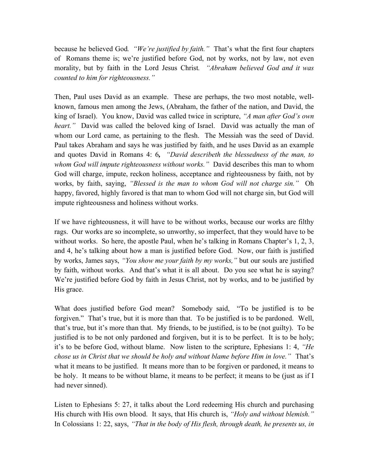because he believed God*. "We're justified by faith."* That's what the first four chapters of Romans theme is; we're justified before God, not by works, not by law, not even morality, but by faith in the Lord Jesus Christ*. "Abraham believed God and it was counted to him for righteousness."* 

Then, Paul uses David as an example. These are perhaps, the two most notable, wellknown, famous men among the Jews, (Abraham, the father of the nation, and David, the king of Israel). You know, David was called twice in scripture, *"A man after God's own heart."* David was called the beloved king of Israel. David was actually the man of whom our Lord came, as pertaining to the flesh. The Messiah was the seed of David. Paul takes Abraham and says he was justified by faith, and he uses David as an example and quotes David in Romans 4: 6*, "David describeth the blessedness of the man, to whom God will impute righteousness without works."* David describes this man to whom God will charge, impute, reckon holiness, acceptance and righteousness by faith, not by works, by faith, saying, *"Blessed is the man to whom God will not charge sin."* Oh happy, favored, highly favored is that man to whom God will not charge sin, but God will impute righteousness and holiness without works.

If we have righteousness, it will have to be without works, because our works are filthy rags. Our works are so incomplete, so unworthy, so imperfect, that they would have to be without works. So here, the apostle Paul, when he's talking in Romans Chapter's 1, 2, 3, and 4, he's talking about how a man is justified before God. Now, our faith is justified by works, James says, *"You show me your faith by my works,"* but our souls are justified by faith, without works. And that's what it is all about. Do you see what he is saying? We're justified before God by faith in Jesus Christ, not by works, and to be justified by His grace.

What does justified before God mean? Somebody said, "To be justified is to be forgiven." That's true, but it is more than that. To be justified is to be pardoned. Well, that's true, but it's more than that. My friends, to be justified, is to be (not guilty). To be justified is to be not only pardoned and forgiven, but it is to be perfect. It is to be holy; it's to be before God, without blame. Now listen to the scripture, Ephesians 1: 4, *"He chose us in Christ that we should be holy and without blame before Him in love."* That's what it means to be justified. It means more than to be forgiven or pardoned, it means to be holy. It means to be without blame, it means to be perfect; it means to be (just as if I had never sinned).

Listen to Ephesians 5: 27, it talks about the Lord redeeming His church and purchasing His church with His own blood. It says, that His church is, *"Holy and without blemish."* In Colossians 1: 22, says, *"That in the body of His flesh, through death, he presents us, in*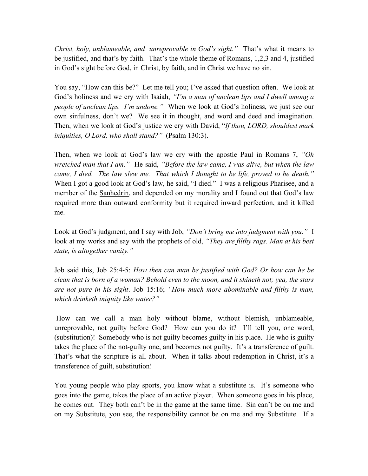*Christ, holy, unblameable, and unreprovable in God's sight."* That's what it means to be justified, and that's by faith. That's the whole theme of Romans, 1,2,3 and 4, justified in God's sight before God, in Christ, by faith, and in Christ we have no sin.

You say, "How can this be?" Let me tell you; I've asked that question often. We look at God's holiness and we cry with Isaiah, *"I'm a man of unclean lips and I dwell among a people of unclean lips. I'm undone."* When we look at God's holiness, we just see our own sinfulness, don't we? We see it in thought, and word and deed and imagination. Then, when we look at God's justice we cry with David, "*If thou, LORD, shouldest mark iniquities, O Lord, who shall stand?"* (Psalm 130:3).

Then, when we look at God's law we cry with the apostle Paul in Romans 7, *"Oh wretched man that I am."* He said, *"Before the law came, I was alive, but when the law came, I died. The law slew me. That which I thought to be life, proved to be death."* When I got a good look at God's law, he said, "I died." I was a religious Pharisee, and a member of the Sanhedrin, and depended on my morality and I found out that God's law required more than outward conformity but it required inward perfection, and it killed me.

Look at God's judgment, and I say with Job, *"Don't bring me into judgment with you."* I look at my works and say with the prophets of old, *"They are filthy rags. Man at his best state, is altogether vanity."*

Job said this, Job 25:4-5: *How then can man be justified with God? Or how can he be clean that is born of a woman? Behold even to the moon, and it shineth not; yea, the stars are not pure in his sight*. Job 15:16; *"How much more abominable and filthy is man, which drinketh iniquity like water?"*

How can we call a man holy without blame, without blemish, unblameable, unreprovable, not guilty before God? How can you do it? I'll tell you, one word, (substitution)! Somebody who is not guilty becomes guilty in his place. He who is guilty takes the place of the not-guilty one, and becomes not guilty. It's a transference of guilt. That's what the scripture is all about. When it talks about redemption in Christ, it's a transference of guilt, substitution!

You young people who play sports, you know what a substitute is. It's someone who goes into the game, takes the place of an active player. When someone goes in his place, he comes out. They both can't be in the game at the same time. Sin can't be on me and on my Substitute, you see, the responsibility cannot be on me and my Substitute. If a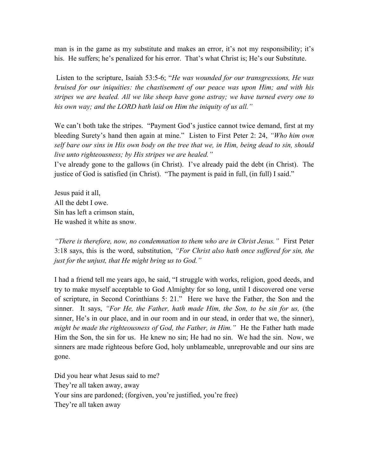man is in the game as my substitute and makes an error, it's not my responsibility; it's his. He suffers; he's penalized for his error. That's what Christ is; He's our Substitute.

Listen to the scripture, Isaiah 53:5-6; "*He was wounded for our transgressions, He was bruised for our iniquities: the chastisement of our peace was upon Him; and with his stripes we are healed. All we like sheep have gone astray; we have turned every one to his own way; and the LORD hath laid on Him the iniquity of us all."*

We can't both take the stripes. "Payment God's justice cannot twice demand, first at my bleeding Surety's hand then again at mine." Listen to First Peter 2: 24, *"Who him own self bare our sins in His own body on the tree that we, in Him, being dead to sin, should live unto righteousness; by His stripes we are healed."* 

I've already gone to the gallows (in Christ). I've already paid the debt (in Christ). The justice of God is satisfied (in Christ). "The payment is paid in full, (in full) I said."

Jesus paid it all, All the debt I owe. Sin has left a crimson stain, He washed it white as snow.

*"There is therefore, now, no condemnation to them who are in Christ Jesus."* First Peter 3:18 says, this is the word, substitution, *"For Christ also hath once suffered for sin, the just for the unjust, that He might bring us to God."*

I had a friend tell me years ago, he said, "I struggle with works, religion, good deeds, and try to make myself acceptable to God Almighty for so long, until I discovered one verse of scripture, in Second Corinthians 5: 21." Here we have the Father, the Son and the sinner. It says, *"For He, the Father, hath made Him, the Son, to be sin for us,* (the sinner, He's in our place, and in our room and in our stead, in order that we, the sinner), *might be made the righteousness of God, the Father, in Him.*" He the Father hath made Him the Son, the sin for us. He knew no sin; He had no sin. We had the sin. Now, we sinners are made righteous before God, holy unblameable, unreprovable and our sins are gone.

Did you hear what Jesus said to me? They're all taken away, away Your sins are pardoned; (forgiven, you're justified, you're free) They're all taken away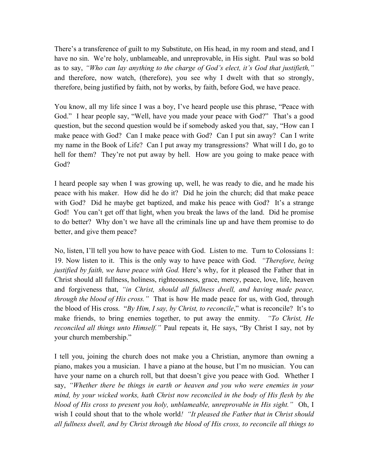There's a transference of guilt to my Substitute, on His head, in my room and stead, and I have no sin. We're holy, unblameable, and unreprovable, in His sight. Paul was so bold as to say, *"Who can lay anything to the charge of God's elect, it's God that justifieth,"* and therefore, now watch, (therefore), you see why I dwelt with that so strongly, therefore, being justified by faith, not by works, by faith, before God, we have peace.

You know, all my life since I was a boy, I've heard people use this phrase, "Peace with God." I hear people say, "Well, have you made your peace with God?" That's a good question, but the second question would be if somebody asked you that, say, "How can I make peace with God? Can I make peace with God? Can I put sin away? Can I write my name in the Book of Life? Can I put away my transgressions? What will I do, go to hell for them? They're not put away by hell. How are you going to make peace with God?

I heard people say when I was growing up, well, he was ready to die, and he made his peace with his maker. How did he do it? Did he join the church; did that make peace with God? Did he maybe get baptized, and make his peace with God? It's a strange God! You can't get off that light, when you break the laws of the land. Did he promise to do better? Why don't we have all the criminals line up and have them promise to do better, and give them peace?

No, listen, I'll tell you how to have peace with God. Listen to me. Turn to Colossians 1: 19. Now listen to it. This is the only way to have peace with God. *"Therefore, being justified by faith, we have peace with God.* Here's why, for it pleased the Father that in Christ should all fullness, holiness, righteousness, grace, mercy, peace, love, life, heaven and forgiveness that, *"in Christ, should all fullness dwell, and having made peace, through the blood of His cross."* That is how He made peace for us, with God, through the blood of His cross. "*By Him, I say, by Christ, to reconcile*," what is reconcile? It's to make friends, to bring enemies together, to put away the enmity. *"To Christ, He reconciled all things unto Himself."* Paul repeats it, He says, "By Christ I say, not by your church membership."

I tell you, joining the church does not make you a Christian, anymore than owning a piano, makes you a musician. I have a piano at the house, but I'm no musician. You can have your name on a church roll, but that doesn't give you peace with God. Whether I say, *"Whether there be things in earth or heaven and you who were enemies in your mind, by your wicked works, hath Christ now reconciled in the body of His flesh by the blood of His cross to present you holy, unblameable, unreprovable in His sight."* Oh, I wish I could shout that to the whole world*! "It pleased the Father that in Christ should all fullness dwell, and by Christ through the blood of His cross, to reconcile all things to*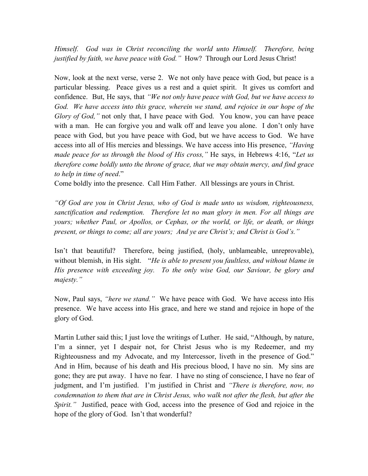*Himself. God was in Christ reconciling the world unto Himself. Therefore, being justified by faith, we have peace with God."* How? Through our Lord Jesus Christ!

Now, look at the next verse, verse 2. We not only have peace with God, but peace is a particular blessing. Peace gives us a rest and a quiet spirit. It gives us comfort and confidence. But, He says, that *"We not only have peace with God, but we have access to God. We have access into this grace, wherein we stand, and rejoice in our hope of the Glory of God,*" not only that, I have peace with God. You know, you can have peace with a man. He can forgive you and walk off and leave you alone. I don't only have peace with God, but you have peace with God, but we have access to God. We have access into all of His mercies and blessings. We have access into His presence, *"Having made peace for us through the blood of His cross,"* He says, in Hebrews 4:16, "*Let us therefore come boldly unto the throne of grace, that we may obtain mercy, and find grace to help in time of need*."

Come boldly into the presence. Call Him Father. All blessings are yours in Christ.

*"Of God are you in Christ Jesus, who of God is made unto us wisdom, righteousness, sanctification and redemption. Therefore let no man glory in men. For all things are yours; whether Paul, or Apollos, or Cephas, or the world, or life, or death, or things present, or things to come; all are yours; And ye are Christ's; and Christ is God's."*

Isn't that beautiful? Therefore, being justified, (holy, unblameable, unreprovable), without blemish, in His sight. "*He is able to present you faultless, and without blame in His presence with exceeding joy. To the only wise God, our Saviour, be glory and majesty."*

Now, Paul says, *"here we stand."* We have peace with God. We have access into His presence. We have access into His grace, and here we stand and rejoice in hope of the glory of God.

Martin Luther said this; I just love the writings of Luther. He said, "Although, by nature, I'm a sinner, yet I despair not, for Christ Jesus who is my Redeemer, and my Righteousness and my Advocate, and my Intercessor, liveth in the presence of God." And in Him, because of his death and His precious blood, I have no sin. My sins are gone; they are put away. I have no fear. I have no sting of conscience, I have no fear of judgment, and I'm justified. I'm justified in Christ and *"There is therefore, now, no condemnation to them that are in Christ Jesus, who walk not after the flesh, but after the Spirit.*" Justified, peace with God, access into the presence of God and rejoice in the hope of the glory of God. Isn't that wonderful?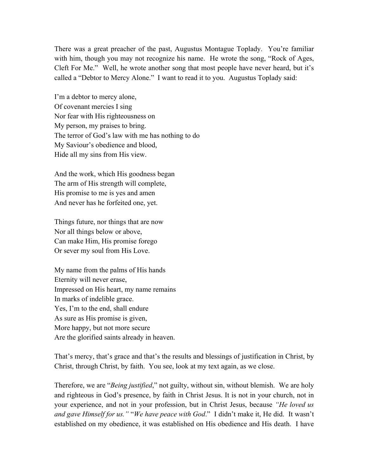There was a great preacher of the past, Augustus Montague Toplady. You're familiar with him, though you may not recognize his name. He wrote the song, "Rock of Ages, Cleft For Me." Well, he wrote another song that most people have never heard, but it's called a "Debtor to Mercy Alone." I want to read it to you. Augustus Toplady said:

I'm a debtor to mercy alone, Of covenant mercies I sing Nor fear with His righteousness on My person, my praises to bring. The terror of God's law with me has nothing to do My Saviour's obedience and blood, Hide all my sins from His view.

And the work, which His goodness began The arm of His strength will complete, His promise to me is yes and amen And never has he forfeited one, yet.

Things future, nor things that are now Nor all things below or above, Can make Him, His promise forego Or sever my soul from His Love.

My name from the palms of His hands Eternity will never erase, Impressed on His heart, my name remains In marks of indelible grace. Yes, I'm to the end, shall endure As sure as His promise is given, More happy, but not more secure Are the glorified saints already in heaven.

That's mercy, that's grace and that's the results and blessings of justification in Christ, by Christ, through Christ, by faith. You see, look at my text again, as we close.

Therefore, we are "*Being justified*," not guilty, without sin, without blemish. We are holy and righteous in God's presence, by faith in Christ Jesus. It is not in your church, not in your experience, and not in your profession, but in Christ Jesus, because *"He loved us and gave Himself for us."* "*We have peace with God*." I didn't make it, He did. It wasn't established on my obedience, it was established on His obedience and His death. I have